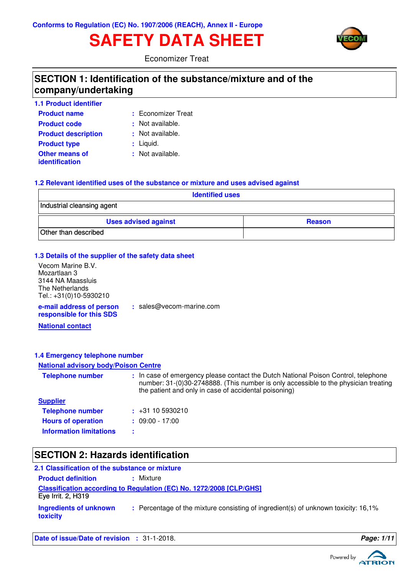# **SAFETY DATA SHEET**



Economizer Treat

### **SECTION 1: Identification of the substance/mixture and of the company/undertaking**

| <b>1.1 Product identifier</b>           |                    |
|-----------------------------------------|--------------------|
| <b>Product name</b>                     | : Economizer Treat |
| <b>Product code</b>                     | : Not available.   |
| <b>Product description</b>              | : Not available.   |
| <b>Product type</b>                     | : Liquid.          |
| <b>Other means of</b><br>identification | : Not available.   |

#### **1.2 Relevant identified uses of the substance or mixture and uses advised against**

| <b>Identified uses</b>      |               |  |
|-----------------------------|---------------|--|
| Industrial cleansing agent  |               |  |
| <b>Uses advised against</b> | <b>Reason</b> |  |
| Other than described        |               |  |

#### **1.3 Details of the supplier of the safety data sheet**

**e-mail address of person** Vecom Marine B.V. Mozartlaan 3 3144 NA Maassluis The Netherlands Tel.: +31(0)10-5930210

**:** sales@vecom-marine.com

**responsible for this SDS**

**National contact**

#### **1.4 Emergency telephone number**

#### **National advisory body/Poison Centre**

| <b>Telephone number</b>        | : In case of emergency please contact the Dutch National Poison Control, telephone<br>number: 31-(0)30-2748888. (This number is only accessible to the physician treating<br>the patient and only in case of accidental poisoning) |
|--------------------------------|------------------------------------------------------------------------------------------------------------------------------------------------------------------------------------------------------------------------------------|
| <b>Supplier</b>                |                                                                                                                                                                                                                                    |
| <b>Telephone number</b>        | $\div$ +31 10 5930210                                                                                                                                                                                                              |
| <b>Hours of operation</b>      | $: 09:00 - 17:00$                                                                                                                                                                                                                  |
| <b>Information limitations</b> |                                                                                                                                                                                                                                    |

## **SECTION 2: Hazards identification**

| 2.1 Classification of the substance or mixture |                                                                                    |  |  |  |
|------------------------------------------------|------------------------------------------------------------------------------------|--|--|--|
| <b>Product definition</b>                      | : Mixture                                                                          |  |  |  |
| Eye Irrit. 2, H319                             | <b>Classification according to Regulation (EC) No. 1272/2008 [CLP/GHS]</b>         |  |  |  |
| Ingredients of unknown<br>toxicity             | : Percentage of the mixture consisting of ingredient(s) of unknown toxicity: 16,1% |  |  |  |

**Date of issue/Date of revision :** 31-1-2018. **Page: 1/1 Page: 1/1** 

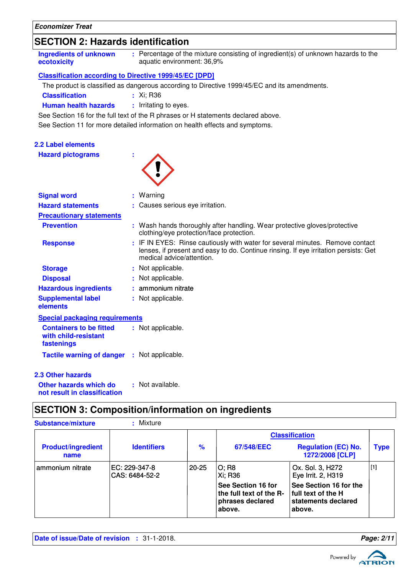### **SECTION 2: Hazards identification**

| : Percentage of the mixture consisting of ingredient(s) of unknown hazards to the<br><b>Ingredients of unknown</b><br>aquatic environment: 36,9%<br>ecotoxicity |  |
|-----------------------------------------------------------------------------------------------------------------------------------------------------------------|--|
|-----------------------------------------------------------------------------------------------------------------------------------------------------------------|--|

#### **Classification according to Directive 1999/45/EC [DPD]**

The product is classified as dangerous according to Directive 1999/45/EC and its amendments.

**Classification :** Xi; R36

**Human health hazards : Irritating to eyes.** 

See Section 16 for the full text of the R phrases or H statements declared above.

See Section 11 for more detailed information on health effects and symptoms.

| <b>2.2 Label elements</b>                                            |                                                                                                                                                                                                    |
|----------------------------------------------------------------------|----------------------------------------------------------------------------------------------------------------------------------------------------------------------------------------------------|
| <b>Hazard pictograms</b>                                             |                                                                                                                                                                                                    |
| <b>Signal word</b>                                                   | : Warning                                                                                                                                                                                          |
| <b>Hazard statements</b>                                             | : Causes serious eye irritation.                                                                                                                                                                   |
| <b>Precautionary statements</b>                                      |                                                                                                                                                                                                    |
| <b>Prevention</b>                                                    | : Wash hands thoroughly after handling. Wear protective gloves/protective<br>clothing/eye protection/face protection.                                                                              |
| <b>Response</b>                                                      | : IF IN EYES: Rinse cautiously with water for several minutes. Remove contact<br>lenses, if present and easy to do. Continue rinsing. If eye irritation persists: Get<br>medical advice/attention. |
| <b>Storage</b>                                                       | : Not applicable.                                                                                                                                                                                  |
| <b>Disposal</b>                                                      | Not applicable.                                                                                                                                                                                    |
| <b>Hazardous ingredients</b>                                         | ammonium nitrate                                                                                                                                                                                   |
| <b>Supplemental label</b><br>elements                                | : Not applicable.                                                                                                                                                                                  |
| <b>Special packaging requirements</b>                                |                                                                                                                                                                                                    |
| <b>Containers to be fitted</b><br>with child-resistant<br>fastenings | : Not applicable.                                                                                                                                                                                  |
| <b>Tactile warning of danger : Not applicable.</b>                   |                                                                                                                                                                                                    |
| <b>2.3 Other hazards</b>                                             |                                                                                                                                                                                                    |
| Other hazards which do<br>not result in classification               | : Not available.                                                                                                                                                                                   |

# **SECTION 3: Composition/information on ingredients**

| <b>Substance/mixture</b>          | Mixture                         |               |                                                                             |                                                                                 |             |
|-----------------------------------|---------------------------------|---------------|-----------------------------------------------------------------------------|---------------------------------------------------------------------------------|-------------|
|                                   |                                 |               |                                                                             | <b>Classification</b>                                                           |             |
| <b>Product/ingredient</b><br>name | <b>Identifiers</b>              | $\frac{9}{6}$ | 67/548/EEC                                                                  | <b>Regulation (EC) No.</b><br>1272/2008 [CLP]                                   | <b>Type</b> |
| ammonium nitrate                  | EC: 229-347-8<br>CAS: 6484-52-2 | $20 - 25$     | O; R8<br>Xi: R36                                                            | Ox. Sol. 3, H272<br>Eye Irrit. 2, H319                                          | $[1]$       |
|                                   |                                 |               | See Section 16 for<br>the full text of the R-<br>phrases declared<br>above. | See Section 16 for the<br>  full text of the H<br>statements declared<br>above. |             |

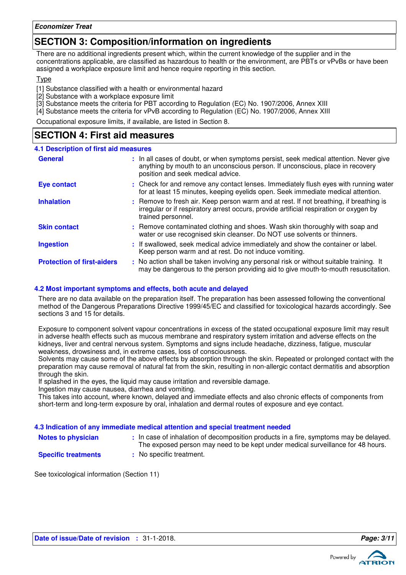### **SECTION 3: Composition/information on ingredients**

There are no additional ingredients present which, within the current knowledge of the supplier and in the concentrations applicable, are classified as hazardous to health or the environment, are PBTs or vPvBs or have been assigned a workplace exposure limit and hence require reporting in this section.

#### Type

[1] Substance classified with a health or environmental hazard

- [2] Substance with a workplace exposure limit
- [3] Substance meets the criteria for PBT according to Regulation (EC) No. 1907/2006, Annex XIII
- [4] Substance meets the criteria for vPvB according to Regulation (EC) No. 1907/2006, Annex XIII

Occupational exposure limits, if available, are listed in Section 8.

### **SECTION 4: First aid measures**

#### **4.1 Description of first aid measures**

| <b>General</b>                    | : In all cases of doubt, or when symptoms persist, seek medical attention. Never give<br>anything by mouth to an unconscious person. If unconscious, place in recovery<br>position and seek medical advice. |
|-----------------------------------|-------------------------------------------------------------------------------------------------------------------------------------------------------------------------------------------------------------|
| <b>Eye contact</b>                | : Check for and remove any contact lenses. Immediately flush eyes with running water<br>for at least 15 minutes, keeping eyelids open. Seek immediate medical attention.                                    |
| <b>Inhalation</b>                 | : Remove to fresh air. Keep person warm and at rest. If not breathing, if breathing is<br>irregular or if respiratory arrest occurs, provide artificial respiration or oxygen by<br>trained personnel.      |
| <b>Skin contact</b>               | : Remove contaminated clothing and shoes. Wash skin thoroughly with soap and<br>water or use recognised skin cleanser. Do NOT use solvents or thinners.                                                     |
| <b>Ingestion</b>                  | : If swallowed, seek medical advice immediately and show the container or label.<br>Keep person warm and at rest. Do not induce vomiting.                                                                   |
| <b>Protection of first-aiders</b> | : No action shall be taken involving any personal risk or without suitable training. It<br>may be dangerous to the person providing aid to give mouth-to-mouth resuscitation.                               |

#### **4.2 Most important symptoms and effects, both acute and delayed**

There are no data available on the preparation itself. The preparation has been assessed following the conventional method of the Dangerous Preparations Directive 1999/45/EC and classified for toxicological hazards accordingly. See sections 3 and 15 for details.

Exposure to component solvent vapour concentrations in excess of the stated occupational exposure limit may result in adverse health effects such as mucous membrane and respiratory system irritation and adverse effects on the kidneys, liver and central nervous system. Symptoms and signs include headache, dizziness, fatigue, muscular weakness, drowsiness and, in extreme cases, loss of consciousness.

Solvents may cause some of the above effects by absorption through the skin. Repeated or prolonged contact with the preparation may cause removal of natural fat from the skin, resulting in non-allergic contact dermatitis and absorption through the skin.

If splashed in the eyes, the liquid may cause irritation and reversible damage.

Ingestion may cause nausea, diarrhea and vomiting.

This takes into account, where known, delayed and immediate effects and also chronic effects of components from short-term and long-term exposure by oral, inhalation and dermal routes of exposure and eye contact.

#### **4.3 Indication of any immediate medical attention and special treatment needed**

- **Notes to physician In case of inhalation of decomposition products in a fire, symptoms may be delayed.** The exposed person may need to be kept under medical surveillance for 48 hours.
- **Specific treatments**
- **:** No specific treatment.

See toxicological information (Section 11)

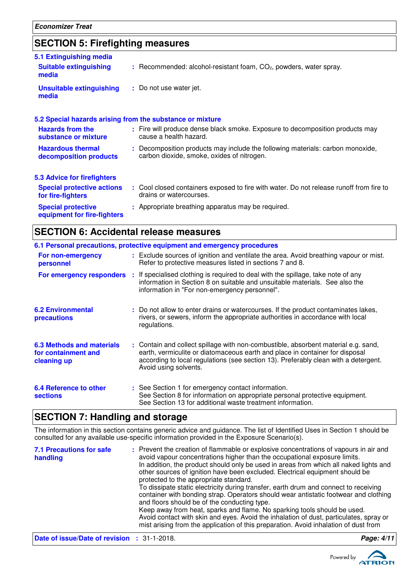### **SECTION 5: Firefighting measures**

| 5.1 Extinguishing media                                   |                                                                                                                              |
|-----------------------------------------------------------|------------------------------------------------------------------------------------------------------------------------------|
| <b>Suitable extinguishing</b><br>media                    | : Recommended: alcohol-resistant foam, CO <sub>2</sub> , powders, water spray.                                               |
| <b>Unsuitable extinguishing</b><br>media                  | : Do not use water jet.                                                                                                      |
| 5.2 Special hazards arising from the substance or mixture |                                                                                                                              |
| <b>Hazards from the</b><br>substance or mixture           | : Fire will produce dense black smoke. Exposure to decomposition products may<br>cause a health hazard.                      |
| <b>Hazardous thermal</b><br>decomposition products        | : Decomposition products may include the following materials: carbon monoxide,<br>carbon dioxide, smoke, oxides of nitrogen. |
| <b>5.3 Advice for firefighters</b>                        |                                                                                                                              |
| <b>Special protective actions</b><br>for fire-fighters    | : Cool closed containers exposed to fire with water. Do not release runoff from fire to<br>drains or watercourses.           |
| <b>Special protective</b><br>equipment for fire-fighters  | : Appropriate breathing apparatus may be required.                                                                           |

### **SECTION 6: Accidental release measures**

|                                                                        | 6.1 Personal precautions, protective equipment and emergency procedures                                                                                                                                                                                                            |
|------------------------------------------------------------------------|------------------------------------------------------------------------------------------------------------------------------------------------------------------------------------------------------------------------------------------------------------------------------------|
| For non-emergency<br>personnel                                         | : Exclude sources of ignition and ventilate the area. Avoid breathing vapour or mist.<br>Refer to protective measures listed in sections 7 and 8.                                                                                                                                  |
| For emergency responders                                               | : If specialised clothing is required to deal with the spillage, take note of any<br>information in Section 8 on suitable and unsuitable materials. See also the<br>information in "For non-emergency personnel".                                                                  |
| <b>6.2 Environmental</b><br>precautions                                | : Do not allow to enter drains or watercourses. If the product contaminates lakes,<br>rivers, or sewers, inform the appropriate authorities in accordance with local<br>regulations.                                                                                               |
| <b>6.3 Methods and materials</b><br>for containment and<br>cleaning up | : Contain and collect spillage with non-combustible, absorbent material e.g. sand,<br>earth, vermiculite or diatomaceous earth and place in container for disposal<br>according to local regulations (see section 13). Preferably clean with a detergent.<br>Avoid using solvents. |
| 6.4 Reference to other<br><b>sections</b>                              | : See Section 1 for emergency contact information.<br>See Section 8 for information on appropriate personal protective equipment.<br>See Section 13 for additional waste treatment information.                                                                                    |

### **SECTION 7: Handling and storage**

The information in this section contains generic advice and guidance. The list of Identified Uses in Section 1 should be consulted for any available use-specific information provided in the Exposure Scenario(s).

| <b>7.1 Precautions for safe</b><br>handling | : Prevent the creation of flammable or explosive concentrations of vapours in air and<br>avoid vapour concentrations higher than the occupational exposure limits.<br>In addition, the product should only be used in areas from which all naked lights and<br>other sources of ignition have been excluded. Electrical equipment should be<br>protected to the appropriate standard.<br>To dissipate static electricity during transfer, earth drum and connect to receiving<br>container with bonding strap. Operators should wear antistatic footwear and clothing<br>and floors should be of the conducting type.<br>Keep away from heat, sparks and flame. No sparking tools should be used.<br>Avoid contact with skin and eyes. Avoid the inhalation of dust, particulates, spray or<br>mist arising from the application of this preparation. Avoid inhalation of dust from |            |
|---------------------------------------------|-------------------------------------------------------------------------------------------------------------------------------------------------------------------------------------------------------------------------------------------------------------------------------------------------------------------------------------------------------------------------------------------------------------------------------------------------------------------------------------------------------------------------------------------------------------------------------------------------------------------------------------------------------------------------------------------------------------------------------------------------------------------------------------------------------------------------------------------------------------------------------------|------------|
| Date of issue/Date of revision : 31-1-2018. |                                                                                                                                                                                                                                                                                                                                                                                                                                                                                                                                                                                                                                                                                                                                                                                                                                                                                     | Page: 4/11 |

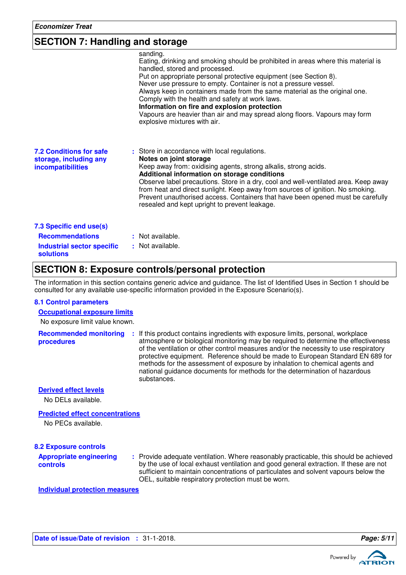### **SECTION 7: Handling and storage**

| sanding.<br>Eating, drinking and smoking should be prohibited in areas where this material is<br>handled, stored and processed.<br>Put on appropriate personal protective equipment (see Section 8).<br>Never use pressure to empty. Container is not a pressure vessel.<br>Always keep in containers made from the same material as the original one.<br>Comply with the health and safety at work laws.<br>Information on fire and explosion protection<br>Vapours are heavier than air and may spread along floors. Vapours may form<br>explosive mixtures with air. |
|-------------------------------------------------------------------------------------------------------------------------------------------------------------------------------------------------------------------------------------------------------------------------------------------------------------------------------------------------------------------------------------------------------------------------------------------------------------------------------------------------------------------------------------------------------------------------|
| : Store in accordance with local regulations.<br>Notes on joint storage<br>Keep away from: oxidising agents, strong alkalis, strong acids.<br>Additional information on storage conditions<br>Observe label precautions. Store in a dry, cool and well-ventilated area. Keep away<br>from heat and direct sunlight. Keep away from sources of ignition. No smoking.<br>Prevent unauthorised access. Containers that have been opened must be carefully<br>resealed and kept upright to prevent leakage.                                                                 |
| : Not available.<br>: Not available.                                                                                                                                                                                                                                                                                                                                                                                                                                                                                                                                    |
|                                                                                                                                                                                                                                                                                                                                                                                                                                                                                                                                                                         |

### **SECTION 8: Exposure controls/personal protection**

The information in this section contains generic advice and guidance. The list of Identified Uses in Section 1 should be consulted for any available use-specific information provided in the Exposure Scenario(s).

#### **8.1 Control parameters**

**Occupational exposure limits**

No exposure limit value known.

**Recommended monitoring procedures :** If this product contains ingredients with exposure limits, personal, workplace atmosphere or biological monitoring may be required to determine the effectiveness of the ventilation or other control measures and/or the necessity to use respiratory protective equipment. Reference should be made to European Standard EN 689 for methods for the assessment of exposure by inhalation to chemical agents and national guidance documents for methods for the determination of hazardous substances.

**Derived effect levels**

No DELs available.

#### **Predicted effect concentrations**

No PECs available.

#### **8.2 Exposure controls**

**Appropriate engineering controls**

Provide adequate ventilation. Where reasonably practicable, this should be achieved **:** by the use of local exhaust ventilation and good general extraction. If these are not sufficient to maintain concentrations of particulates and solvent vapours below the OEL, suitable respiratory protection must be worn.

**Individual protection measures**



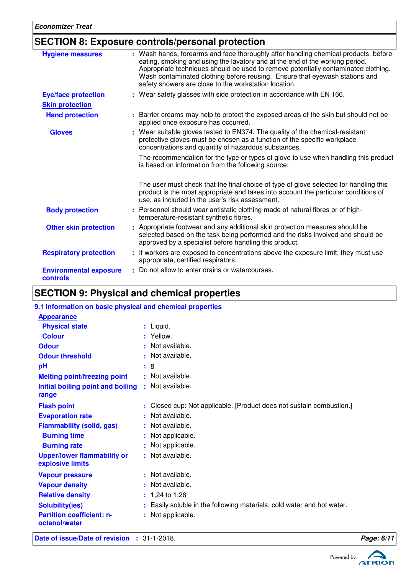### **SECTION 8: Exposure controls/personal protection**

| <b>Hygiene measures</b>                          | : Wash hands, forearms and face thoroughly after handling chemical products, before<br>eating, smoking and using the lavatory and at the end of the working period.<br>Appropriate techniques should be used to remove potentially contaminated clothing.<br>Wash contaminated clothing before reusing. Ensure that eyewash stations and<br>safety showers are close to the workstation location. |  |
|--------------------------------------------------|---------------------------------------------------------------------------------------------------------------------------------------------------------------------------------------------------------------------------------------------------------------------------------------------------------------------------------------------------------------------------------------------------|--|
| <b>Eye/face protection</b>                       | : Wear safety glasses with side protection in accordance with EN 166.                                                                                                                                                                                                                                                                                                                             |  |
| <b>Skin protection</b>                           |                                                                                                                                                                                                                                                                                                                                                                                                   |  |
| <b>Hand protection</b>                           | Barrier creams may help to protect the exposed areas of the skin but should not be<br>applied once exposure has occurred.                                                                                                                                                                                                                                                                         |  |
| <b>Gloves</b>                                    | Wear suitable gloves tested to EN374. The quality of the chemical-resistant<br>protective gloves must be chosen as a function of the specific workplace<br>concentrations and quantity of hazardous substances.                                                                                                                                                                                   |  |
|                                                  | The recommendation for the type or types of glove to use when handling this product<br>is based on information from the following source:                                                                                                                                                                                                                                                         |  |
|                                                  | The user must check that the final choice of type of glove selected for handling this<br>product is the most appropriate and takes into account the particular conditions of<br>use, as included in the user's risk assessment.                                                                                                                                                                   |  |
| <b>Body protection</b>                           | : Personnel should wear antistatic clothing made of natural fibres or of high-<br>temperature-resistant synthetic fibres.                                                                                                                                                                                                                                                                         |  |
| <b>Other skin protection</b>                     | : Appropriate footwear and any additional skin protection measures should be<br>selected based on the task being performed and the risks involved and should be<br>approved by a specialist before handling this product.                                                                                                                                                                         |  |
| <b>Respiratory protection</b>                    | : If workers are exposed to concentrations above the exposure limit, they must use<br>appropriate, certified respirators.                                                                                                                                                                                                                                                                         |  |
| <b>Environmental exposure</b><br><b>controls</b> | Do not allow to enter drains or watercourses.                                                                                                                                                                                                                                                                                                                                                     |  |

# **SECTION 9: Physical and chemical properties**

| 9.1 Information on basic physical and chemical properties |                                                                        |
|-----------------------------------------------------------|------------------------------------------------------------------------|
| <b>Appearance</b>                                         |                                                                        |
| <b>Physical state</b>                                     | $:$ Liquid.                                                            |
| <b>Colour</b>                                             | : Yellow.                                                              |
| <b>Odour</b>                                              | : Not available.                                                       |
| <b>Odour threshold</b>                                    | : Not available.                                                       |
| pH                                                        | -8<br>÷.                                                               |
| <b>Melting point/freezing point</b>                       | : Not available.                                                       |
| Initial boiling point and boiling                         | : Not available.                                                       |
| range                                                     |                                                                        |
| <b>Flash point</b>                                        | : Closed cup: Not applicable. [Product does not sustain combustion.]   |
| <b>Evaporation rate</b>                                   | : Not available.                                                       |
| <b>Flammability (solid, gas)</b>                          | : Not available.                                                       |
| <b>Burning time</b>                                       | : Not applicable.                                                      |
| <b>Burning rate</b>                                       | Not applicable.                                                        |
| <b>Upper/lower flammability or</b>                        | : Not available.                                                       |
| explosive limits                                          |                                                                        |
| <b>Vapour pressure</b>                                    | : Not available.                                                       |
| <b>Vapour density</b>                                     | : Not available.                                                       |
| <b>Relative density</b>                                   | $: 1,24$ to 1,26                                                       |
| <b>Solubility(ies)</b>                                    | : Easily soluble in the following materials: cold water and hot water. |
| <b>Partition coefficient: n-</b>                          | : Not applicable.                                                      |
| octanol/water                                             |                                                                        |
|                                                           |                                                                        |

**Date of issue/Date of revision :** 31-1-2018. **Page: 6/11** 



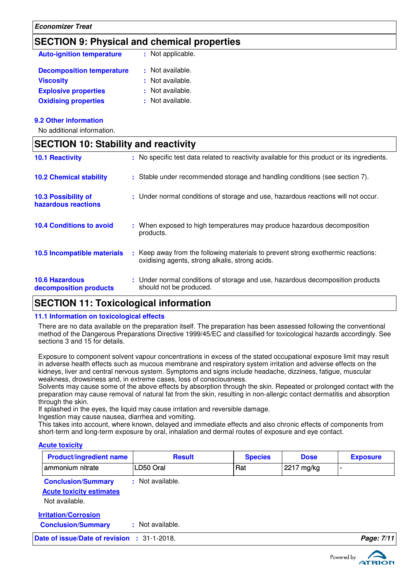### **SECTION 9: Physical and chemical properties**

| <b>Auto-ignition temperature</b> | : Not applicable. |
|----------------------------------|-------------------|
| <b>Decomposition temperature</b> | : Not available.  |
| <b>Viscosity</b>                 | : Not available.  |
| <b>Explosive properties</b>      | : Not available.  |
| <b>Oxidising properties</b>      | : Not available.  |

#### **9.2 Other information**

No additional information.

### **SECTION 10: Stability and reactivity**

| <b>10.1 Reactivity</b>                            | : No specific test data related to reactivity available for this product or its ingredients.                                        |
|---------------------------------------------------|-------------------------------------------------------------------------------------------------------------------------------------|
| <b>10.2 Chemical stability</b>                    | : Stable under recommended storage and handling conditions (see section 7).                                                         |
| <b>10.3 Possibility of</b><br>hazardous reactions | : Under normal conditions of storage and use, hazardous reactions will not occur.                                                   |
| <b>10.4 Conditions to avoid</b>                   | : When exposed to high temperatures may produce hazardous decomposition<br>products.                                                |
| 10.5 Incompatible materials                       | : Keep away from the following materials to prevent strong exothermic reactions:<br>oxidising agents, strong alkalis, strong acids. |
| <b>10.6 Hazardous</b><br>decomposition products   | : Under normal conditions of storage and use, hazardous decomposition products<br>should not be produced.                           |

### **SECTION 11: Toxicological information**

#### **11.1 Information on toxicological effects**

There are no data available on the preparation itself. The preparation has been assessed following the conventional method of the Dangerous Preparations Directive 1999/45/EC and classified for toxicological hazards accordingly. See sections 3 and 15 for details.

Exposure to component solvent vapour concentrations in excess of the stated occupational exposure limit may result in adverse health effects such as mucous membrane and respiratory system irritation and adverse effects on the kidneys, liver and central nervous system. Symptoms and signs include headache, dizziness, fatigue, muscular weakness, drowsiness and, in extreme cases, loss of consciousness.

Solvents may cause some of the above effects by absorption through the skin. Repeated or prolonged contact with the preparation may cause removal of natural fat from the skin, resulting in non-allergic contact dermatitis and absorption through the skin.

If splashed in the eyes, the liquid may cause irritation and reversible damage.

Ingestion may cause nausea, diarrhea and vomiting.

This takes into account, where known, delayed and immediate effects and also chronic effects of components from short-term and long-term exposure by oral, inhalation and dermal routes of exposure and eye contact.

### **Acute toxicity**

| <b>Product/ingredient name</b>                                                 | <b>Result</b>    | <b>Species</b> | <b>Dose</b> | <b>Exposure</b> |
|--------------------------------------------------------------------------------|------------------|----------------|-------------|-----------------|
| ammonium nitrate                                                               | LD50 Oral        | Rat            | 2217 mg/kg  | -               |
| <b>Conclusion/Summary</b><br><b>Acute toxicity estimates</b><br>Not available. | : Not available. |                |             |                 |
| <b>Irritation/Corrosion</b><br><b>Conclusion/Summary</b>                       | : Not available. |                |             |                 |
| Date of issue/Date of revision : 31-1-2018.                                    |                  |                |             | Page: 7/11      |

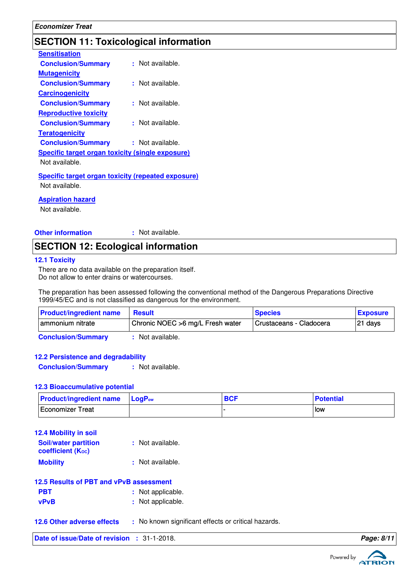### **SECTION 11: Toxicological information**

| <b>Sensitisation</b>                              |                      |
|---------------------------------------------------|----------------------|
| <b>Conclusion/Summary</b>                         | : Not available.     |
| <b>Mutagenicity</b>                               |                      |
| <b>Conclusion/Summary</b>                         | $\pm$ Not available. |
| <b>Carcinogenicity</b>                            |                      |
| <b>Conclusion/Summary</b>                         | : Not available.     |
| <b>Reproductive toxicity</b>                      |                      |
| <b>Conclusion/Summary</b>                         | : Not available.     |
| <b>Teratogenicity</b>                             |                      |
| <b>Conclusion/Summary</b>                         | : Not available.     |
| Specific target organ toxicity (single exposure)  |                      |
| Not available.                                    |                      |
| Cussifie towart overan toviaity (venested ovnasy) |                      |

**Specific target organ toxicity (repeated exposure)** Not available.

#### **Aspiration hazard**

Not available.

**Other information :** : Not available.

### **SECTION 12: Ecological information**

#### **12.1 Toxicity**

There are no data available on the preparation itself. Do not allow to enter drains or watercourses.

The preparation has been assessed following the conventional method of the Dangerous Preparations Directive 1999/45/EC and is not classified as dangerous for the environment.

| <b>Product/ingredient name</b> | <b>Result</b>                     | <b>Species</b>          | <b>Exposure</b> |
|--------------------------------|-----------------------------------|-------------------------|-----------------|
| I ammonium nitrate             | Chronic NOEC > 6 mg/L Fresh water | Crustaceans - Cladocera | $ 21$ days      |
| Conclusion Cummon              | Not ovojloblo                     |                         |                 |

**Conclusion/Summary :** Not available.

#### **12.2 Persistence and degradability**

**Conclusion/Summary :** Not available.

#### **12.3 Bioaccumulative potential**

| <b>Product/ingredient name</b> LogP <sub>ow</sub> | <b>BCF</b> | <b>Potential</b> |
|---------------------------------------------------|------------|------------------|
| Economizer Treat                                  |            | low              |

| <b>12.4 Mobility in soil</b>                     |                  |
|--------------------------------------------------|------------------|
| <b>Soil/water partition</b><br>coefficient (Koc) | : Not available. |
| <b>Mobility</b>                                  | : Not available. |

|            | 12.5 Results of PBT and vPvB assessment |
|------------|-----------------------------------------|
| <b>PBT</b> | : Not applicable.                       |

- **vPvB :** Not applicable.
- **12.6 Other adverse effects** : No known significant effects or critical hazards.

**Date of issue/Date of revision :** 31-1-2018. **Page: 8/11**

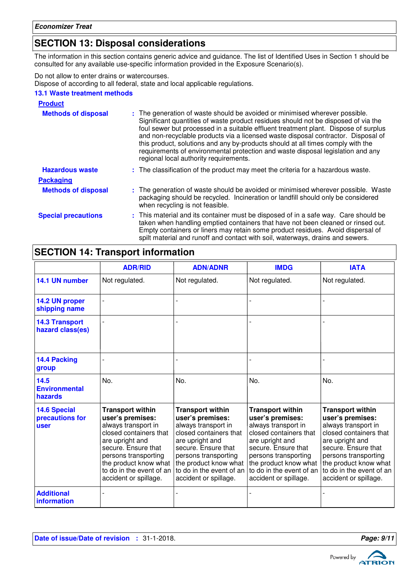### **SECTION 13: Disposal considerations**

The information in this section contains generic advice and guidance. The list of Identified Uses in Section 1 should be consulted for any available use-specific information provided in the Exposure Scenario(s).

Do not allow to enter drains or watercourses.

Dispose of according to all federal, state and local applicable regulations.

### **13.1 Waste treatment methods**

| <b>Product</b>             |                                                                                                                                                                                                                                                                                                                                                                                                                                                                                                                                                               |
|----------------------------|---------------------------------------------------------------------------------------------------------------------------------------------------------------------------------------------------------------------------------------------------------------------------------------------------------------------------------------------------------------------------------------------------------------------------------------------------------------------------------------------------------------------------------------------------------------|
| <b>Methods of disposal</b> | : The generation of waste should be avoided or minimised wherever possible.<br>Significant quantities of waste product residues should not be disposed of via the<br>foul sewer but processed in a suitable effluent treatment plant. Dispose of surplus<br>and non-recyclable products via a licensed waste disposal contractor. Disposal of<br>this product, solutions and any by-products should at all times comply with the<br>requirements of environmental protection and waste disposal legislation and any<br>regional local authority requirements. |
| <b>Hazardous waste</b>     | : The classification of the product may meet the criteria for a hazardous waste.                                                                                                                                                                                                                                                                                                                                                                                                                                                                              |
| <b>Packaging</b>           |                                                                                                                                                                                                                                                                                                                                                                                                                                                                                                                                                               |
| <b>Methods of disposal</b> | : The generation of waste should be avoided or minimised wherever possible. Waste<br>packaging should be recycled. Incineration or landfill should only be considered<br>when recycling is not feasible.                                                                                                                                                                                                                                                                                                                                                      |
| <b>Special precautions</b> | : This material and its container must be disposed of in a safe way. Care should be<br>taken when handling emptied containers that have not been cleaned or rinsed out.<br>Empty containers or liners may retain some product residues. Avoid dispersal of<br>spilt material and runoff and contact with soil, waterways, drains and sewers.                                                                                                                                                                                                                  |

# **SECTION 14: Transport information**

|                                                | <b>ADR/RID</b>                                                                                                                                                                                                                               | <b>ADN/ADNR</b>                                                                                                                                                                                                                              | <b>IMDG</b>                                                                                                                                                                                                                                  | <b>IATA</b>                                                                                                                                                                                                                                  |
|------------------------------------------------|----------------------------------------------------------------------------------------------------------------------------------------------------------------------------------------------------------------------------------------------|----------------------------------------------------------------------------------------------------------------------------------------------------------------------------------------------------------------------------------------------|----------------------------------------------------------------------------------------------------------------------------------------------------------------------------------------------------------------------------------------------|----------------------------------------------------------------------------------------------------------------------------------------------------------------------------------------------------------------------------------------------|
| 14.1 UN number                                 | Not regulated.                                                                                                                                                                                                                               | Not regulated.                                                                                                                                                                                                                               | Not regulated.                                                                                                                                                                                                                               | Not regulated.                                                                                                                                                                                                                               |
| 14.2 UN proper<br>shipping name                | $\overline{a}$                                                                                                                                                                                                                               |                                                                                                                                                                                                                                              |                                                                                                                                                                                                                                              |                                                                                                                                                                                                                                              |
| <b>14.3 Transport</b><br>hazard class(es)      |                                                                                                                                                                                                                                              |                                                                                                                                                                                                                                              |                                                                                                                                                                                                                                              |                                                                                                                                                                                                                                              |
| 14.4 Packing<br>group                          |                                                                                                                                                                                                                                              |                                                                                                                                                                                                                                              |                                                                                                                                                                                                                                              |                                                                                                                                                                                                                                              |
| 14.5<br><b>Environmental</b><br>hazards        | No.                                                                                                                                                                                                                                          | No.                                                                                                                                                                                                                                          | No.                                                                                                                                                                                                                                          | No.                                                                                                                                                                                                                                          |
| <b>14.6 Special</b><br>precautions for<br>user | <b>Transport within</b><br>user's premises:<br>always transport in<br>closed containers that<br>are upright and<br>secure. Ensure that<br>persons transporting<br>the product know what<br>to do in the event of an<br>accident or spillage. | <b>Transport within</b><br>user's premises:<br>always transport in<br>closed containers that<br>are upright and<br>secure. Ensure that<br>persons transporting<br>the product know what<br>to do in the event of an<br>accident or spillage. | <b>Transport within</b><br>user's premises:<br>always transport in<br>closed containers that<br>are upright and<br>secure. Ensure that<br>persons transporting<br>the product know what<br>to do in the event of an<br>accident or spillage. | <b>Transport within</b><br>user's premises:<br>always transport in<br>closed containers that<br>are upright and<br>secure. Ensure that<br>persons transporting<br>the product know what<br>to do in the event of an<br>accident or spillage. |
| <b>Additional</b><br>information               |                                                                                                                                                                                                                                              |                                                                                                                                                                                                                                              |                                                                                                                                                                                                                                              |                                                                                                                                                                                                                                              |

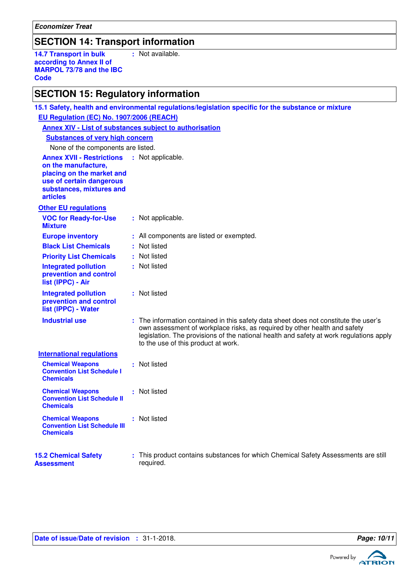**Economizer Treat**

### **SECTION 14: Transport information**

**14.7 Transport in bulk according to Annex II of MARPOL 73/78 and the IBC Code :** Not available.

**EU Regulation (EC) No. 1907/2006 (REACH)**

### **SECTION 15: Regulatory information**

| Annex XIV - List of substances subject to authorisation                                                                                                         |                                                                                                                                                                                                                                                                                                     |
|-----------------------------------------------------------------------------------------------------------------------------------------------------------------|-----------------------------------------------------------------------------------------------------------------------------------------------------------------------------------------------------------------------------------------------------------------------------------------------------|
| <b>Substances of very high concern</b>                                                                                                                          |                                                                                                                                                                                                                                                                                                     |
| None of the components are listed.                                                                                                                              |                                                                                                                                                                                                                                                                                                     |
| <b>Annex XVII - Restrictions</b><br>on the manufacture,<br>placing on the market and<br>use of certain dangerous<br>substances, mixtures and<br><b>articles</b> | : Not applicable.                                                                                                                                                                                                                                                                                   |
| <b>Other EU regulations</b>                                                                                                                                     |                                                                                                                                                                                                                                                                                                     |
| <b>VOC for Ready-for-Use</b><br><b>Mixture</b>                                                                                                                  | : Not applicable.                                                                                                                                                                                                                                                                                   |
| <b>Europe inventory</b>                                                                                                                                         | : All components are listed or exempted.                                                                                                                                                                                                                                                            |
| <b>Black List Chemicals</b>                                                                                                                                     | : Not listed                                                                                                                                                                                                                                                                                        |
| <b>Priority List Chemicals</b>                                                                                                                                  | : Not listed                                                                                                                                                                                                                                                                                        |
| <b>Integrated pollution</b><br>prevention and control<br>list (IPPC) - Air                                                                                      | : Not listed                                                                                                                                                                                                                                                                                        |
| <b>Integrated pollution</b><br>prevention and control<br>list (IPPC) - Water                                                                                    | : Not listed                                                                                                                                                                                                                                                                                        |
| <b>Industrial use</b>                                                                                                                                           | : The information contained in this safety data sheet does not constitute the user's<br>own assessment of workplace risks, as required by other health and safety<br>legislation. The provisions of the national health and safety at work regulations apply<br>to the use of this product at work. |
| <b>International regulations</b>                                                                                                                                |                                                                                                                                                                                                                                                                                                     |
| <b>Chemical Weapons</b><br><b>Convention List Schedule I</b><br><b>Chemicals</b>                                                                                | : Not listed                                                                                                                                                                                                                                                                                        |
| <b>Chemical Weapons</b><br><b>Convention List Schedule II</b><br><b>Chemicals</b>                                                                               | : Not listed                                                                                                                                                                                                                                                                                        |
| <b>Chemical Weapons</b><br><b>Convention List Schedule III</b><br><b>Chemicals</b>                                                                              | : Not listed                                                                                                                                                                                                                                                                                        |
| <b>15.2 Chemical Safety</b><br><b>Assessment</b>                                                                                                                | : This product contains substances for which Chemical Safety Assessments are still<br>required.                                                                                                                                                                                                     |

**15.1 Safety, health and environmental regulations/legislation specific for the substance or mixture**